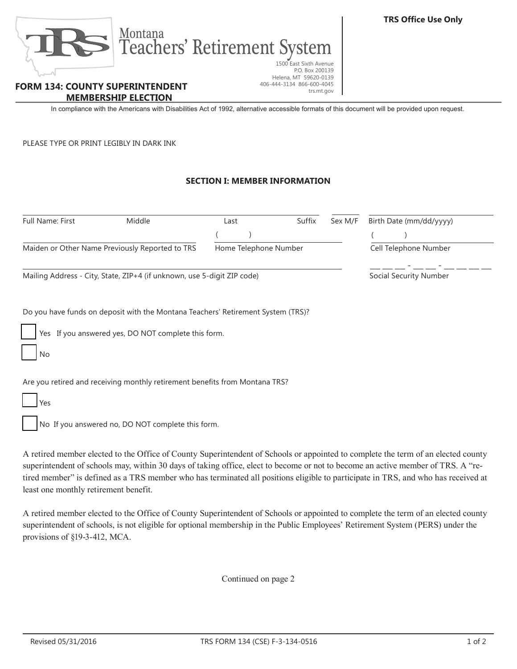

## **FORM 134: COUNTY SUPERINTENDENT MEMBERSHIP ELECTION**

In compliance with the Americans with Disabilities Act of 1992, alternative accessible formats of this document will be provided upon request.

P.O. Box 200139

trs.mt.gov

406-444-3134 866-600-4045

PLEASE TYPE OR PRINT LEGIBLY IN DARK INK

## **SECTION I: MEMBER INFORMATION**

| Full Name: First                                                        | Middle                                                                           | Last                  | Suffix | Sex M/F                       | Birth Date (mm/dd/yyyy)                                                                                                                                                                                                                                                                                                                                                                                    |
|-------------------------------------------------------------------------|----------------------------------------------------------------------------------|-----------------------|--------|-------------------------------|------------------------------------------------------------------------------------------------------------------------------------------------------------------------------------------------------------------------------------------------------------------------------------------------------------------------------------------------------------------------------------------------------------|
|                                                                         |                                                                                  |                       |        |                               |                                                                                                                                                                                                                                                                                                                                                                                                            |
| Maiden or Other Name Previously Reported to TRS                         |                                                                                  | Home Telephone Number |        |                               | Cell Telephone Number                                                                                                                                                                                                                                                                                                                                                                                      |
| Mailing Address - City, State, ZIP+4 (if unknown, use 5-digit ZIP code) |                                                                                  |                       |        | <b>Social Security Number</b> |                                                                                                                                                                                                                                                                                                                                                                                                            |
|                                                                         | Do you have funds on deposit with the Montana Teachers' Retirement System (TRS)? |                       |        |                               |                                                                                                                                                                                                                                                                                                                                                                                                            |
|                                                                         | Yes If you answered yes, DO NOT complete this form.                              |                       |        |                               |                                                                                                                                                                                                                                                                                                                                                                                                            |
| No                                                                      |                                                                                  |                       |        |                               |                                                                                                                                                                                                                                                                                                                                                                                                            |
|                                                                         | Are you retired and receiving monthly retirement benefits from Montana TRS?      |                       |        |                               |                                                                                                                                                                                                                                                                                                                                                                                                            |
| Yes                                                                     |                                                                                  |                       |        |                               |                                                                                                                                                                                                                                                                                                                                                                                                            |
|                                                                         | No If you answered no, DO NOT complete this form.                                |                       |        |                               |                                                                                                                                                                                                                                                                                                                                                                                                            |
|                                                                         |                                                                                  |                       |        |                               | A retired member elected to the Office of County Superintendent of Schools or appointed to complete the term of an elected county<br>superintendent of schools may, within 30 days of taking office, elect to become or not to become an active member of TRS. A "re-<br>tired member" is defined as a TRS member who has terminated all positions eligible to participate in TRS, and who has received at |

least one monthly retirement benefit. A retired member elected to the Office of County Superintendent of Schools or appointed to complete the term of an elected county

superintendent of schools, is not eligible for optional membership in the Public Employees' Retirement System (PERS) under the provisions of §19-3-412, MCA.

Continued on page 2